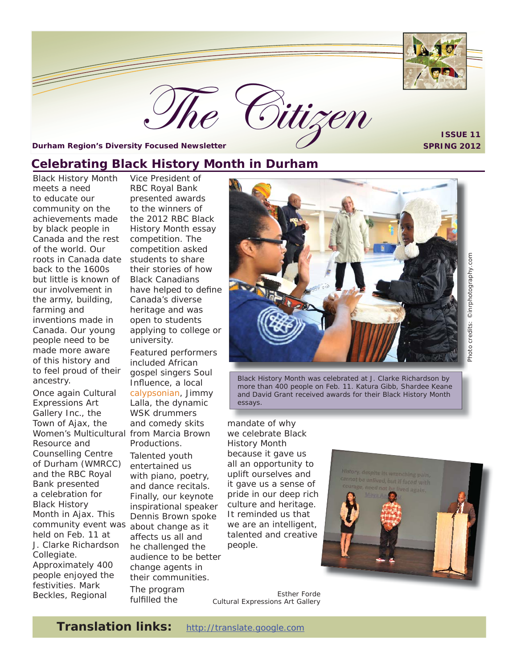

**ISSUE 11**

<span id="page-0-0"></span>**Durham Region's Diversity Focused Newsletter SPRING 2012**

## **Celebrating Black History Month in Durham**

Black History Month meets a need to educate our community on the achievements made by black people in Canada and the rest of the world. Our roots in Canada date back to the 1600s but little is known of our involvement in the army, building, farming and inventions made in Canada. Our young people need to be made more aware of this history and to feel proud of their ancestry.

Once again Cultural Expressions Art Gallery Inc., the Town of Ajax, the Women's Multicultural from Marcia Brown Resource and Counselling Centre of Durham (WMRCC) and the RBC Royal Bank presented a celebration for Black History Month in Ajax. This community event was held on Feb. 11 at J. Clarke Richardson Collegiate. Approximately 400 people enjoyed the festivities. Mark Beckles, Regional

Vice President of RBC Royal Bank presented awards to the winners of the 2012 RBC Black History Month essay competition. The competition asked students to share their stories of how Black Canadians have helped to define Canada's diverse heritage and was open to students applying to college or university.

Featured performers included African gospel singers Soul Influence, a local calypsonian, Jimmy Lalla, the dynamic WSK drummers and comedy skits Productions. Talented youth entertained us with piano, poetry, and dance recitals. Finally, our keynote inspirational speaker Dennis Brown spoke about change as it affects us all and he challenged the audience to be better change agents in their communities. The program fulfilled the



Gitizen

Black History Month was celebrated at J. Clarke Richardson by more than 400 people on Feb. 11. Katura Gibb, Shardee Keane and David Grant received awards for their Black History Month essays.

mandate of why we celebrate Black History Month because it gave us all an opportunity to uplift ourselves and it gave us a sense of pride in our deep rich culture and heritage. It reminded us that we are an intelligent, talented and creative people.

*Esther Forde Cultural Expressions Art Gallery*



**Translation links:** http://translate.google.com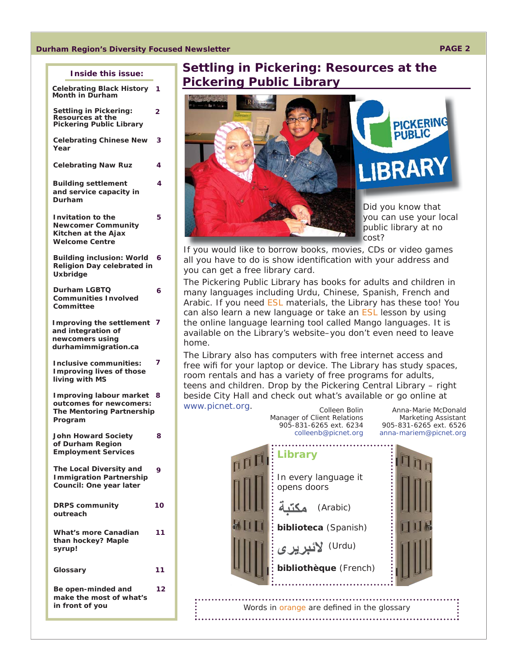#### **Durham Region's Diversity Focused Newsletter PAGE 2**

**2**

**1**

**3**

**4**

**5**

**6**

| Inside this issue: |  |
|--------------------|--|
|                    |  |

**Settling in Pickering: Resources at the Pickering Public Library [Celebrating Chinese New](#page-2-0)  [Celebrating Black History](#page-0-0)  Month in Durham**

**Year**

**[Celebrating Naw Ruz](#page-3-0) 4**

**Building settlement [and service capacity in](#page-3-0)  Durham**

**Invitation to the [Newcomer Community](#page-4-0)  Kitchen at the Ajax Welcome Centre**

**Building inclusion: World [Religion Day celebrated in](#page-5-0)  Uxbridge 6**

**Durham LGBTQ [Communities Involved](#page-5-0)  Committee** 

**[Improving the settlement](#page-6-0)  7 and integration of newcomers using durhamimmigration.ca**

**Inclusive communities: [Improving lives of those](#page-6-0)  living with MS 7**

**Improving labour market 8 outcomes for newcomers: [The Mentoring Partnership](#page-7-0)  Program**

**[John Howard Society](#page-7-0)  of Durham Region Employment Services 8 The Local Diversity and [Immigration Partnership](#page-8-0)  Council: One year later 9 [DRPS community](#page-8-0)  outreach 10 [What's more Canadian](#page-10-0)  than hockey? Maple 11**

**[Glossary](#page-10-0) 11 Be open-minded and [make the most of what's](#page-10-0)  in front of you 12**

**syrup!**

### **Settling in Pickering: Resources at the Pickering Public Library**





Did you know that you can use your local y public library at no p cost? c

If you would like to borrow books, movies, CDs or video games all you have to do is show identification with your address and you can get a free library card.

The Pickering Public Library has books for adults and children in many languages including Urdu, Chinese, Spanish, French and Arabic. If you need ESL materials, the Library has these too! You can also learn a new language or take an ESL lesson by using the online language learning tool called Mango languages. It is available on the Library's website–you don't even need to leave home.

The Library also has computers with free internet access and free wifi for your laptop or device. The Library has study spaces, room rentals and has a variety of free programs for adults, teens and children. Drop by the Pickering Central Library – right beside City Hall and check out what's available or go online at

www.picnet.org.

*Colleen Bolin Manager of Client Relations 905-831-6265 ext. 6234 colleenb@picnet.org* 

*Anna-Marie McDonald Marketing Assistant 905-831-6265 ext. 6526 anna-mariem@picnet.org*

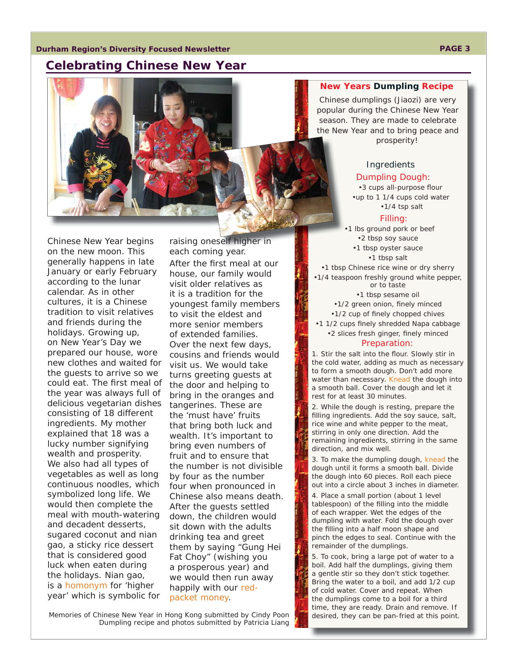### <span id="page-2-0"></span>**Celebrating Chinese New Year**



Chinese New Year begins on the new moon. This generally happens in late January or early February according to the lunar calendar. As in other cultures, it is a Chinese tradition to visit relatives and friends during the holidays. Growing up, on New Year's Day we prepared our house, wore new clothes and waited for the guests to arrive so we could eat. The first meal of the year was always full of delicious vegetarian dishes consisting of 18 different ingredients. My mother explained that 18 was a lucky number signifying wealth and prosperity. We also had all types of vegetables as well as long continuous noodles, which symbolized long life. We would then complete the meal with mouth-watering and decadent desserts, sugared coconut and nian gao, a sticky rice dessert that is considered good luck when eaten during the holidays. Nian gao, is a homonym for '*higher year*' which is symbolic for

each coming year. After the first meal at our house, our family would visit older relatives as it is a tradition for the youngest family members to visit the eldest and more senior members of extended families. Over the next few days, cousins and friends would visit us. We would take turns greeting guests at the door and helping to bring in the oranges and tangerines. These are the '*must have*' fruits that bring both luck and wealth. It's important to bring even numbers of fruit and to ensure that the number is not divisible by four as the number four when pronounced in Chinese also means death. After the guests settled down, the children would sit down with the adults drinking tea and greet them by saying "Gung Hei Fat Choy" (wishing you a prosperous year) and we would then run away happily with our redpacket money.

raising oneself higher in

**New Years Dumpling Recipe**

Chinese dumplings (Jiaozi) are very popular during the Chinese New Year season. They are made to celebrate the New Year and to bring peace and prosperity!

#### Ingredients

#### Dumpling Dough:

•3 cups all-purpose flour •up to 1 1/4 cups cold water •1/4 tsp salt

#### Filling:

•1 lbs ground pork or beef •2 tbsp soy sauce •1 tbsp oyster sauce •1 tbsp salt

•1 tbsp Chinese rice wine or dry sherry •1/4 teaspoon freshly ground white pepper, or to taste

> •1 tbsp sesame oil •1/2 green onion, finely minced •1/2 cup of finely chopped chives

•1 1/2 cups finely shredded Napa cabbage •2 slices fresh ginger, finely minced

#### Preparation:

1. Stir the salt into the flour. Slowly stir in the cold water, adding as much as necessary to form a smooth dough. Don't add more water than necessary. Knead the dough into a smooth ball. Cover the dough and let it rest for at least 30 minutes.

2. While the dough is resting, prepare the filling ingredients. Add the soy sauce, salt, rice wine and white pepper to the meat, stirring in only one direction. Add the remaining ingredients, stirring in the same direction, and mix well.

3. To make the dumpling dough, knead the dough until it forms a smooth ball. Divide the dough into 60 pieces. Roll each piece out into a circle about 3 inches in diameter.

4. Place a small portion (about 1 level tablespoon) of the filling into the middle of each wrapper. Wet the edges of the dumpling with water. Fold the dough over the filling into a half moon shape and pinch the edges to seal. Continue with the remainder of the dumplings.

5. To cook, bring a large pot of water to a boil. Add half the dumplings, giving them a gentle stir so they don't stick together. Bring the water to a boil, and add 1/2 cup of cold water. Cover and repeat. When the dumplings come to a boil for a third time, they are ready. Drain and remove. If desired, they can be pan-fried at this point.

*Memories of Chinese New Year in Hong Kong submitted by Cindy Poon Dumpling recipe and photos submitted by Patricia Liang*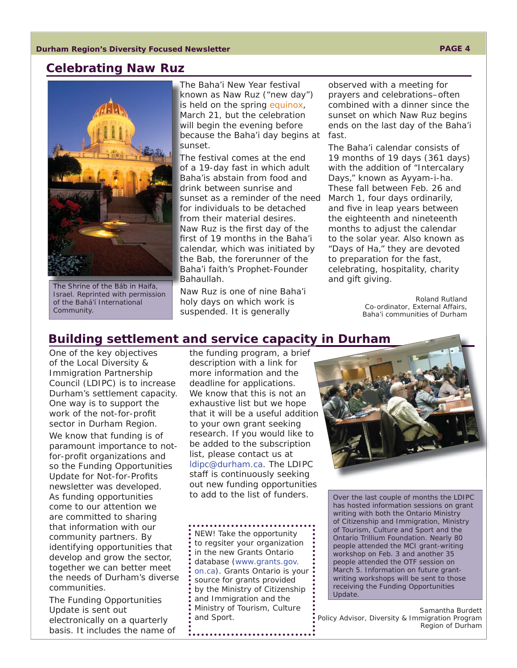#### <span id="page-3-0"></span>**Celebrating Naw Ruz**



The Shrine of the Báb in Haifa, Israel. Reprinted with permission of the Bahá'í International Community.

The Baha'i New Year festival known as Naw Ruz ("new day") is held on the spring equinox, March 21, but the celebration will begin the evening before because the Baha'i day begins at sunset.

The festival comes at the end of a 19-day fast in which adult Baha'is abstain from food and drink between sunrise and sunset as a reminder of the need for individuals to be detached from their material desires. Naw Ruz is the first day of the first of 19 months in the Baha'i calendar, which was initiated by the Bab, the forerunner of the Baha'i faith's Prophet-Founder Bahaullah.

Naw Ruz is one of nine Baha'i holy days on which work is suspended. It is generally

observed with a meeting for prayers and celebrations–often combined with a dinner since the sunset on which Naw Ruz begins ends on the last day of the Baha'i fast.

The Baha'i calendar consists of 19 months of 19 days (361 days) with the addition of "Intercalary Days," known as Ayyam-i-ha. These fall between Feb. 26 and March 1, four days ordinarily, and five in leap years between the eighteenth and nineteenth months to adjust the calendar to the solar year. Also known as "Days of Ha," they are devoted to preparation for the fast, celebrating, hospitality, charity and gift giving.

> *Roland Rutland Co-ordinator, External Affairs, Baha'i communities of Durham*

### **Building settlement and service capacity in Durham y**

One of the key objectives of the Local Diversity & Immigration Partnership Council (LDIPC) is to increase Durham's settlement capacity. One way is to support the work of the not-for-profit sector in Durham Region. We know that funding is of paramount importance to notfor-profit organizations and so the *Funding Opportunities <u>Update for Not-for-Profits</u>* newsletter was developed. As funding opportunities come to our attention we are committed to sharing that information with our community partners. By identifying opportunities that develop and grow the sector, together we can better meet the needs of Durham's diverse communities.

*The Funding Opportunities Update* is sent out electronically on a quarterly basis. It includes the name of the funding program, a brief description with a link for more information and the deadline for applications. We know that this is not an exhaustive list but we hope that it will be a useful addition to your own grant seeking research. If you would like to be added to the subscription list, please contact us at ldipc@durham.ca. The LDIPC staff is continuously seeking out new funding opportunities to add to the list of funders.

NEW! Take the opportunity to regsiter your organization in the new Grants Ontario database (www.grants.gov. on.ca). Grants Ontario is your source for grants provided by the Ministry of Citizenship and Immigration and the Ministry of Tourism, Culture and Sport.



Over the last couple of months the LDIPC has hosted information sessions on grant writing with both the Ontario Ministry of Citizenship and Immigration, Ministry of Tourism, Culture and Sport and the Ontario Trillium Foundation. Nearly 80 people attended the MCI grant-writing workshop on Feb. 3 and another 35 people attended the OTF session on March 5. Information on future grantwriting workshops will be sent to those receiving the *Funding Opportunities Update*.

*Samantha Burdett Policy Advisor, Diversity & Immigration Program Region of Durham*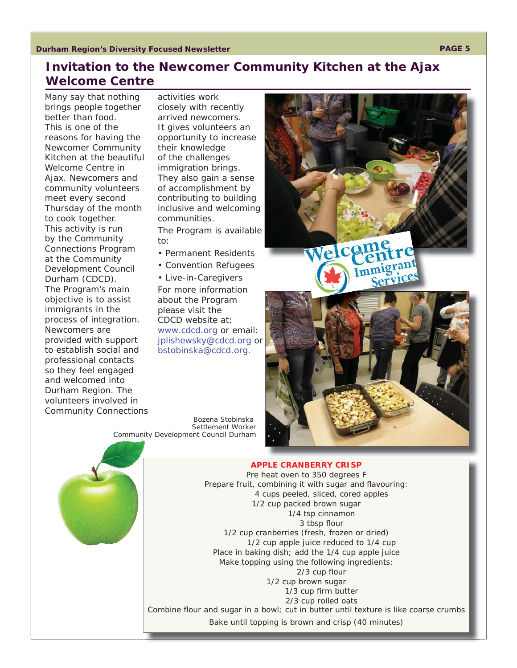# <span id="page-4-0"></span>**Invitation to the Newcomer Community Kitchen at the Ajax Welcome Centre**

Many say that nothing brings people together better than food. This is one of the reasons for having the Newcomer Community Kitchen at the beautiful Welcome Centre in Ajax. Newcomers and community volunteers meet every second Thursday of the month to cook together. This activity is run by the Community Connections Program at the Community Development Council Durham (CDCD). The Program's main objective is to assist immigrants in the process of integration. Newcomers are provided with support to establish social and professional contacts so they feel engaged and welcomed into Durham Region. The volunteers involved in Community Connections

activities work closely with recently arrived newcomers. It gives volunteers an opportunity to increase their knowledge of the challenges immigration brings. They also gain a sense of accomplishment by contributing to building inclusive and welcoming communities.

The Program is available to:

- Permanent Residents
- Convention Refugees

• Live-in-Caregivers For more information about the Program please visit the CDCD website at: www.cdcd.org or email: jplishewsky@cdcd.org or bstobinska@cdcd.org.

*Bozena Stobinska Settlement Worker Community Development Council Durham*



#### Pre heat oven to 350 degrees F Prepare fruit, combining it with sugar and flavouring: 4 cups peeled, sliced, cored apples 1/2 cup packed brown sugar 1/4 tsp cinnamon 3 tbsp flour 1/2 cup cranberries (fresh, frozen or dried) 1/2 cup apple juice reduced to 1/4 cup Place in baking dish; add the 1/4 cup apple juice Make topping using the following ingredients:  $2/3$  cup flour 1/2 cup brown sugar 1/3 cup firm butter 2/3 cup rolled oats Combine flour and sugar in a bowl; cut in butter until texture is like coarse crumbs Bake until topping is brown and crisp (40 minutes)



#### **APPLE CRANBERRY CRISP**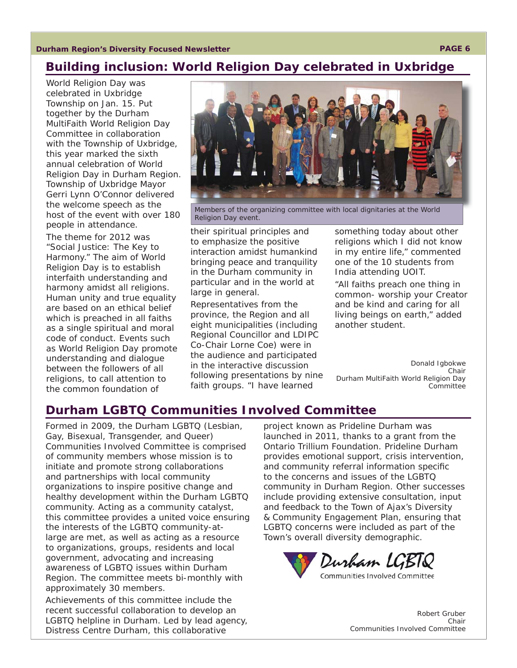<span id="page-5-0"></span>**Durham Region's Diversity Focused Newsletter PAGE 6** 

# **Building inclusion: World Religion Day celebrated in Uxbridge**

World Religion Day was celebrated in Uxbridge Township on Jan. 15. Put together by the Durham MultiFaith World Religion Day Committee in collaboration with the Township of Uxbridge, this year marked the sixth annual celebration of World Religion Day in Durham Region. Township of Uxbridge Mayor Gerri Lynn O'Connor delivered the welcome speech as the host of the event with over 180 people in attendance.

The theme for 2012 was "Social Justice: The Key to Harmony." The aim of World Religion Day is to establish interfaith understanding and harmony amidst all religions. Human unity and true equality are based on an ethical belief which is preached in all faiths as a single spiritual and moral code of conduct. Events such as World Religion Day promote understanding and dialogue between the followers of all religions, to call attention to the common foundation of



Members of the organizing committee with local dignitaries at the World Religion Day event.

their spiritual principles and to emphasize the positive interaction amidst humankind bringing peace and tranquility in the Durham community in particular and in the world at large in general.

Representatives from the province, the Region and all eight municipalities (including Regional Councillor and LDIPC Co-Chair Lorne Coe) were in the audience and participated in the interactive discussion following presentations by nine faith groups. "I have learned

something today about other religions which I did not know in my entire life," commented one of the 10 students from India attending UOIT.

"All faiths preach one thing in common- worship your Creator and be kind and caring for all living beings on earth," added another student.

*Donald Igbokwe Chair Durham MultiFaith World Religion Day Committee*

# **Durham LGBTQ Communities Involved Committee**

Formed in 2009, the Durham LGBTQ (Lesbian, Gay, Bisexual, Transgender, and Queer) Communities Involved Committee is comprised of community members whose mission is to initiate and promote strong collaborations and partnerships with local community organizations to inspire positive change and healthy development within the Durham LGBTQ community. Acting as a community catalyst, this committee provides a united voice ensuring the interests of the LGBTQ community-atlarge are met, as well as acting as a resource to organizations, groups, residents and local government, advocating and increasing awareness of LGBTQ issues within Durham Region. The committee meets bi-monthly with approximately 30 members.

Achievements of this committee include the recent successful collaboration to develop an LGBTQ helpline in Durham. Led by lead agency, Distress Centre Durham, this collaborative

project known as Prideline Durham was launched in 2011, thanks to a grant from the Ontario Trillium Foundation. Prideline Durham provides emotional support, crisis intervention, and community referral information specific to the concerns and issues of the LGBTQ community in Durham Region. Other successes include providing extensive consultation, input and feedback to the Town of Ajax's Diversity & Community Engagement Plan, ensuring that LGBTQ concerns were included as part of the Town's overall diversity demographic.



*Robert Gruber Chair Communities Involved Committee*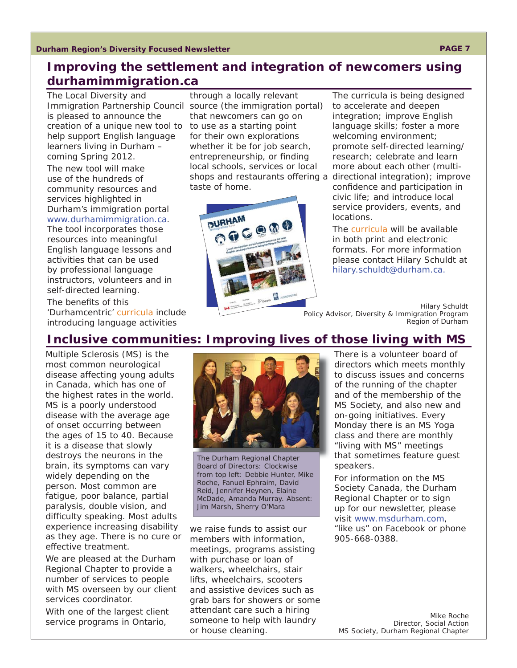# <span id="page-6-0"></span>**Improving the settlement and integration of newcomers using [durhamimmigration.ca](www.durhamimmigration.ca)**

The Local Diversity and is pleased to announce the creation of a unique new tool to to use as a starting point help support English language learners living in Durham – coming Spring 2012.

The new tool will make use of the hundreds of community resources and services highlighted in Durham's immigration portal www.durhamimmigration.ca.

The tool incorporates those resources into meaningful English language lessons and activities that can be used by professional language instructors, volunteers and in self-directed learning.

The benefits of this 'Durhamcentric' curricula include introducing language activities

Immigration Partnership Council source (the immigration portal) through a locally relevant that newcomers can go on for their own explorations whether it be for job search, entrepreneurship, or finding local schools, services or local taste of home.



shops and restaurants offering a directional integration); improve The curricula is being designed to accelerate and deepen integration; improve English language skills; foster a more welcoming environment; promote self-directed learning/ research; celebrate and learn more about each other (multiconfidence and participation in civic life; and introduce local service providers, events, and locations.

> The curricula will be available in both print and electronic formats. For more information please contact Hilary Schuldt at hilary.schuldt@durham.ca.

*Hilary Schuldt Policy Advisor, Diversity & Immigration Program Region of Durham*

# **Inclusive communities: Improving lives of those living with MS**

Multiple Sclerosis (MS) is the most common neurological disease affecting young adults in Canada, which has one of the highest rates in the world. MS is a poorly understood disease with the average age of onset occurring between the ages of 15 to 40. Because it is a disease that slowly destroys the neurons in the brain, its symptoms can vary widely depending on the person. Most common are fatigue, poor balance, partial paralysis, double vision, and difficulty speaking. Most adults experience increasing disability as they age. There is no cure or effective treatment.

We are pleased at the Durham Regional Chapter to provide a number of services to people with MS overseen by our client services coordinator.

With one of the largest client service programs in Ontario,



The Durham Regional Chapter Board of Directors: Clockwise from top left: Debbie Hunter, Mike Roche, Fanuel Ephraim, David Reid, Jennifer Heynen, Elaine McDade, Amanda Murray. Absent: Jim Marsh, Sherry O'Mara

we raise funds to assist our members with information, meetings, programs assisting with purchase or loan of walkers, wheelchairs, stair lifts, wheelchairs, scooters and assistive devices such as grab bars for showers or some attendant care such a hiring someone to help with laundry or house cleaning.

There is a volunteer board of directors which meets monthly to discuss issues and concerns of the running of the chapter and of the membership of the MS Society, and also new and on-going initiatives. Every Monday there is an MS Yoga class and there are monthly "living with MS" meetings that sometimes feature guest speakers.

For information on the MS Society Canada, the Durham Regional Chapter or to sign up for our newsletter, please visit www.msdurham.com, "like us" on Facebook or phone 905-668-0388.

#### *Mike Roche Director, Social Action MS Society, Durham Regional Chapter*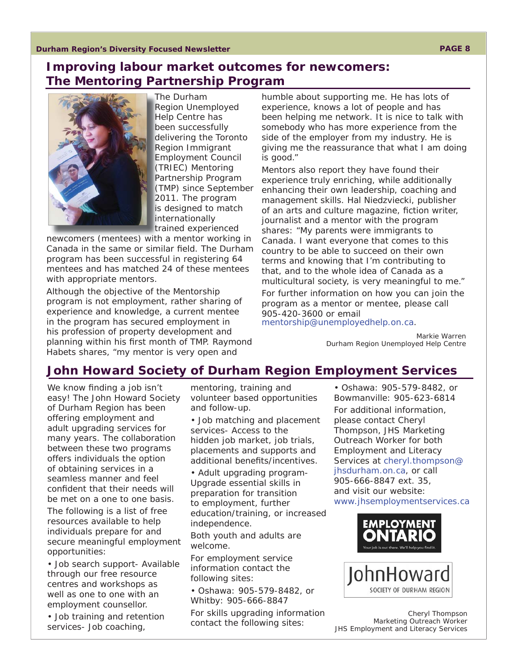## <span id="page-7-0"></span>**Improving labour market outcomes for newcomers: The Mentoring Partnership Program**



The Durham T Region Unemployed R Help Centre has H been successfully b delivering the Toronto Region Immigrant R Employment Council E (TRIEC) Mentoring ( Partnership Program P (TMP) since September ( 2011. The program 2 is designed to match **internationally** trained experienced t

newcomers (mentees) with a mentor working in Canada in the same or similar field. The Durham program has been successful in registering 64 mentees and has matched 24 of these mentees with appropriate mentors.

Although the objective of the Mentorship program is not employment, rather sharing of experience and knowledge, a current mentee in the program has secured employment in his profession of property development and planning within his first month of TMP. Raymond Habets shares, "my mentor is very open and

humble about supporting me. He has lots of experience, knows a lot of people and has been helping me network. It is nice to talk with somebody who has more experience from the side of the employer from my industry. He is giving me the reassurance that what I am doing is good."

Mentors also report they have found their experience truly enriching, while additionally enhancing their own leadership, coaching and management skills. Hal Niedzviecki, publisher of an arts and culture magazine, fiction writer, journalist and a mentor with the program shares: "My parents were immigrants to Canada. I want everyone that comes to this country to be able to succeed on their own terms and knowing that I'm contributing to that, and to the whole idea of Canada as a multicultural society, is very meaningful to me."

For further information on how you can join the program as a mentor or mentee, please call 905-420-3600 or email mentorship@unemployedhelp.on.ca.

> *Markie Warren Durham Region Unemployed Help Centre*

### **John Howard Society of Durham Region Employment Services**

We know finding a job isn't easy! The John Howard Society of Durham Region has been offering employment and adult upgrading services for many years. The collaboration between these two programs offers individuals the option of obtaining services in a seamless manner and feel confident that their needs will be met on a one to one basis. The following is a list of free resources available to help individuals prepare for and

secure meaningful employment opportunities: • Job search support- Available through our free resource centres and workshops as well as one to one with an

employment counsellor. • Job training and retention services- Job coaching,

mentoring, training and volunteer based opportunities and follow-up.

• Job matching and placement services- Access to the hidden job market, job trials, placements and supports and additional benefits/incentives.

• Adult upgrading program-Upgrade essential skills in preparation for transition to employment, further education/training, or increased independence.

Both youth and adults are welcome.

For employment service information contact the following sites:

• Oshawa: 905-579-8482, or Whitby: 905-666-8847

For skills upgrading information contact the following sites:

• Oshawa: 905-579-8482, or Bowmanville: 905-623-6814 For additional information, please contact Cheryl Thompson, JHS Marketing Outreach Worker for both Employment and Literacy [Services at cheryl.thompson@](mailto:cheryl.thompson@jhsdurham.on.ca) jhsdurham.on.ca, or call 905-666-8847 ext. 35, and visit our website: www.jhsemploymentservices.ca



*Cheryl Thompson Marketing Outreach Worker JHS Employment and Literacy Services*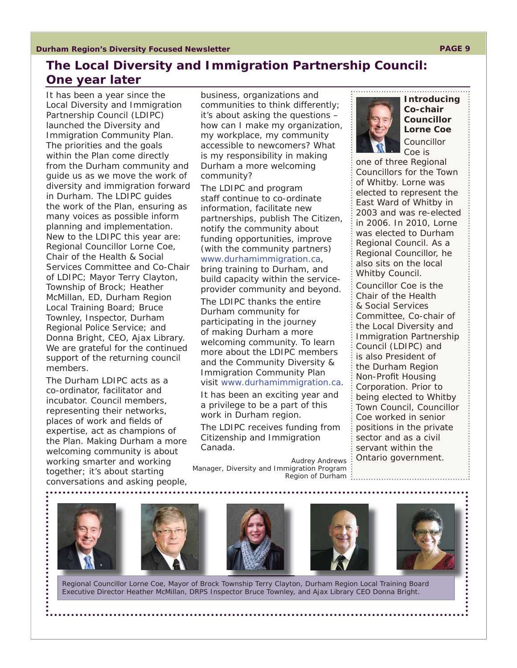# <span id="page-8-0"></span>**The Local Diversity and Immigration Partnership Council: One year later**

It has been a year since the Local Diversity and Immigration Partnership Council (LDIPC) launched the Diversity and Immigration Community Plan. The priorities and the goals within the Plan come directly from the Durham community and guide us as we move the work of diversity and immigration forward in Durham. The LDIPC guides the work of the Plan, ensuring as many voices as possible inform planning and implementation. New to the LDIPC this year are: Regional Councillor Lorne Coe, Chair of the Health & Social Services Committee and Co-Chair of LDIPC; Mayor Terry Clayton, Township of Brock; Heather McMillan, ED, Durham Region Local Training Board; Bruce Townley, Inspector, Durham Regional Police Service; and Donna Bright, CEO, Ajax Library. We are grateful for the continued support of the returning council members.

The Durham LDIPC acts as a co-ordinator, facilitator and incubator. Council members, representing their networks, places of work and fields of expertise, act as champions of the Plan. Making Durham a more welcoming community is about working smarter and working together; it's about starting conversations and asking people,



business, organizations and communities to think differently; it's about asking the questions – how can I make my organization, my workplace, my community accessible to newcomers? What is my responsibility in making Durham a more welcoming community?

The LDIPC and program staff continue to co-ordinate information, facilitate new partnerships, publish *The Citizen*, notify the community about funding opportunities, improve (with the community partners) www.durhamimmigration.ca, bring training to Durham, and build capacity within the service-

provider community and beyond. The LDIPC thanks the entire

Durham community for participating in the journey of making Durham a more welcoming community. To learn more about the LDIPC members and the Community Diversity & Immigration Community Plan visit www.durhamimmigration.ca.

It has been an exciting year and a privilege to be a part of this work in Durham region.

The LDIPC receives funding from Citizenship and Immigration Canada.

*Audrey Andrews Manager, Diversity and Immigration Program Region of Durham*







Regional Councillor Lorne Coe, Mayor of Brock Township Terry Clayton, Durham Region Local Training Board Executive Director Heather McMillan, DRPS Inspector Bruce Townley, and Ajax Library CEO Donna Bright.



**Introducing Co-chair Councillor Lorne Coe** Councillor Coe is

one of three Regional Councillors for the Town of Whitby. Lorne was elected to represent the East Ward of Whitby in 2003 and was re-elected in 2006. In 2010, Lorne was elected to Durham Regional Council. As a Regional Councillor, he also sits on the local Whitby Council. Councillor Coe is the Chair of the Health & Social Services Committee, Co-chair of the Local Diversity and Immigration Partnership Council (LDIPC) and is also President of the Durham Region Non-Profit Housing Corporation. Prior to being elected to Whitby Town Council, Councillor Coe worked in senior positions in the private sector and as a civil

servant within the Ontario government.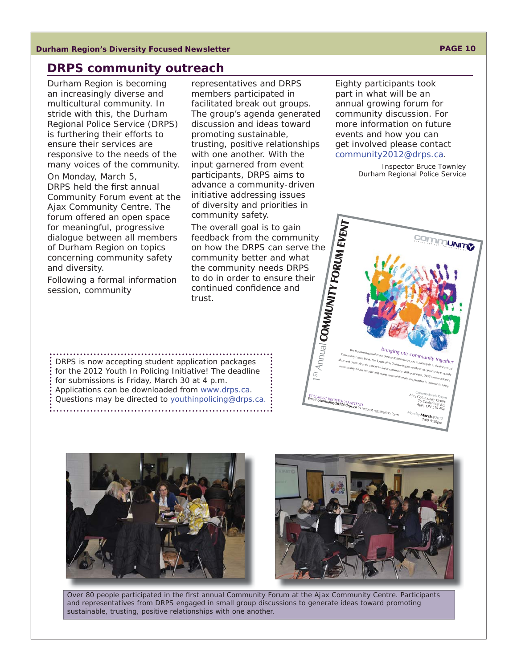#### **Durham Region's Diversity Focused Newsletter PAGE 10**

#### **DRPS community outreach**

Durham Region is becoming an increasingly diverse and multicultural community. In stride with this, the Durham Regional Police Service (DRPS) is furthering their efforts to ensure their services are responsive to the needs of the many voices of the community. On Monday, March 5, DRPS held the first annual Community Forum event at the Ajax Community Centre. The forum offered an open space for meaningful, progressive dialogue between all members of Durham Region on topics concerning community safety and diversity.

Following a formal information session, community

representatives and DRPS members participated in facilitated break out groups. The group's agenda generated discussion and ideas toward promoting sustainable, trusting, positive relationships with one another. With the input garnered from event participants, DRPS aims to advance a community-driven initiative addressing issues of diversity and priorities in community safety.

The overall goal is to gain feedback from the community on how the DRPS can serve the community better and what the community needs DRPS to do in order to ensure their continued confidence and trust. **COMMUNITY FORUM EVENT**

Eighty participants took part in what will be an annual growing forum for community discussion. For more information on future events and how you can get involved please contact community2012@drps.ca.

 $\begin{split} \label{eq:3} &\textit{The Dufham Reg} \\ \textit{Commuting Form} \\ \textit{Commuting Form} \\ \textit{Form} \\ \textit{Form} \\ \textit{Form} \\ \textit{Form} \\ \textit{Form} \\ \textit{Form} \\ \textit{Form} \\ \textit{Form} \\ \textit{Form} \\ \textit{Hig.} \\ \textit{Form} \\ \textit{Form} \\ \textit{Hig.} \\ \textit{Form} \\ \textit{Hig.} \\ \textit{Form} \\ \textit{Hig.} \\ \textit{Hig.} \\ \textit{Hig.} \\ \textit{Hig.} \\ \textit{Hig.} \\ \textit{Hig.} \\ \textit{$ a community-driven initiative addressing issues of diversity and priorities in community of Department of the A<br>https://www.initiative addressing issues of diversity and priorities in community of Department<br>and priorities

> Commodore's Room<br>**Communit** Ajax Community Ce  $75 \text{ C}_{en}$

A jax, ON L1S 4S4 Monday **March5** <sup>2012</sup>  $^{7:00-9:30}$ pm

ntre tennial Rd

*Inspector Bruce Townley Durham Regional Police Service*

**COMMUNITY** 

DRPS is now accepting student application packages for the 2012 Youth In Policing Initiative! The deadline for submissions is Friday, March 30 at 4 p.m. Applications can be downloaded from www.drps.ca. Questions may be directed to youthinpolicing@drps.ca. 





WUST REGISTER TO ATTEND<br>**community2012@drps.ca** to request registration fo

1STAnnual

Over 80 people participated in the first annual Community Forum at the Ajax Community Centre. Participants and representatives from DRPS engaged in small group discussions to generate ideas toward promoting sustainable, trusting, positive relationships with one another.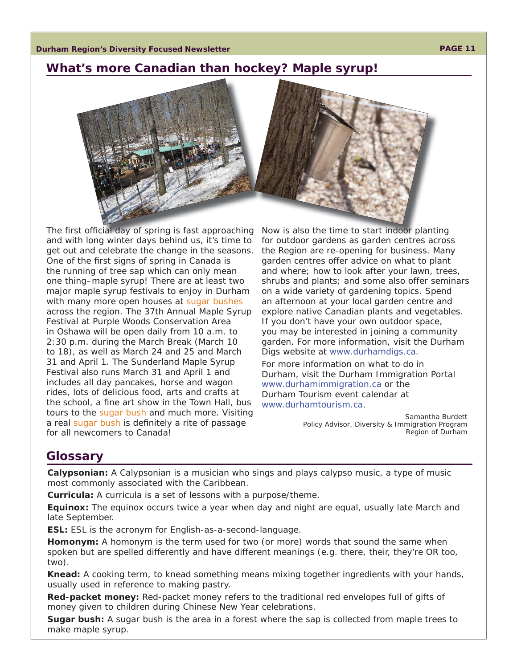### <span id="page-10-0"></span>**What's more Canadian than hockey? Maple syrup!**



The first official day of spring is fast approaching and with long winter days behind us, it's time to get out and celebrate the change in the seasons. One of the first signs of spring in Canada is the running of tree sap which can only mean one thing–maple syrup! There are at least two major maple syrup festivals to enjoy in Durham with many more open houses at sugar bushes across the region. The 37th Annual Maple Syrup Festival at Purple Woods Conservation Area in Oshawa will be open daily from 10 a.m. to 2:30 p.m. during the March Break (March 10 to 18), as well as March 24 and 25 and March 31 and April 1. The Sunderland Maple Syrup Festival also runs March 31 and April 1 and includes all day pancakes, horse and wagon rides, lots of delicious food, arts and crafts at the school, a fine art show in the Town Hall, bus tours to the sugar bush and much more. Visiting a real sugar bush is definitely a rite of passage for all newcomers to Canada!

Now is also the time to start indoor planting for outdoor gardens as garden centres across the Region are re-opening for business. Many garden centres offer advice on what to plant and where; how to look after your lawn, trees, shrubs and plants; and some also offer seminars on a wide variety of gardening topics. Spend an afternoon at your local garden centre and explore native Canadian plants and vegetables. If you don't have your own outdoor space, you may be interested in joining a community garden. For more information, visit the Durham Digs website at www.durhamdigs.ca.

For more information on what to do in Durham, visit the Durham Immigration Portal www.durhamimmigration.ca or the Durham Tourism event calendar at www.durhamtourism.ca.

> *Samantha Burdett Policy Advisor, Diversity & Immigration Program Region of Durham*

## **Glossary**

**Calypsonian:** A Calypsonian is a musician who sings and plays calypso music, a type of music most commonly associated with the Caribbean.

**Curricula:** A curricula is a set of lessons with a purpose/theme.

**Equinox:** The equinox occurs twice a year when day and night are equal, usually late March and late September.

**ESL:** ESL is the acronym for English-as-a-second-language.

**Homonym:** A homonym is the term used for two (or more) words that sound the same when spoken but are spelled differently and have different meanings (e.g. there, their, they're OR too, two).

**Knead:** A cooking term, to knead something means mixing together ingredients with your hands, usually used in reference to making pastry.

**Red-packet money:** Red-packet money refers to the traditional red envelopes full of gifts of money given to children during Chinese New Year celebrations.

**Sugar bush:** A sugar bush is the area in a forest where the sap is collected from maple trees to make maple syrup.